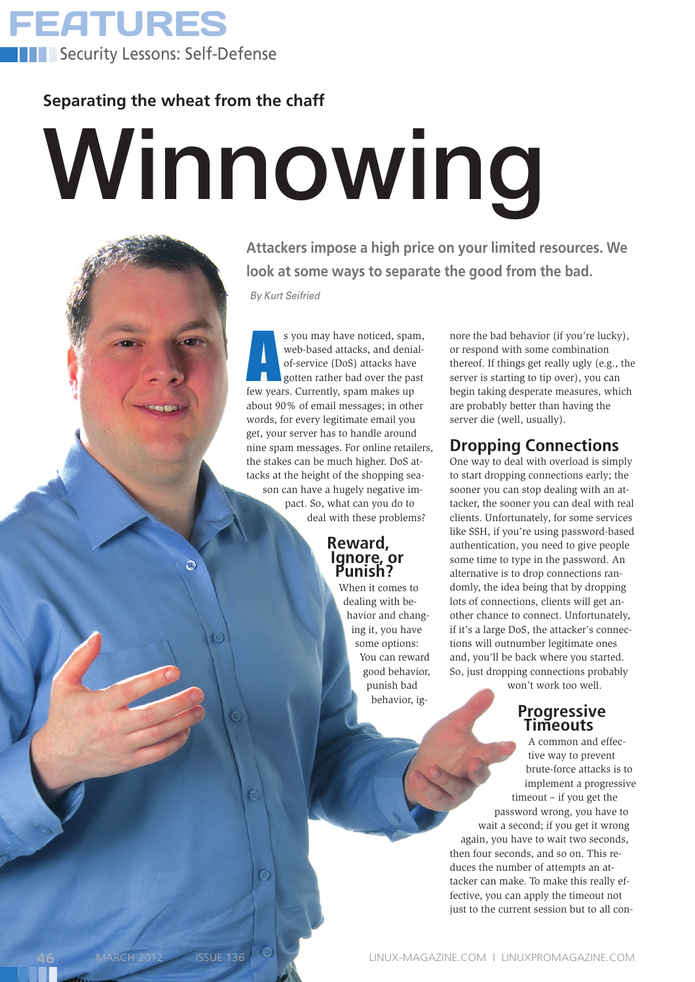

**Separating the wheat from the chaff**

Э

# Winnowing

**Attackers impose a high price on your limited resources. We look at some ways to separate the good from the bad.**

*By Kurt Seifried*

s you may have noticed, span web-based attacks, and denia<br>of-service (DoS) attacks have<br>gotten rather bad over the pas<br>few years. Currently, spam makes up s you may have noticed, spam, web-based attacks, and denialof-service (DoS) attacks have gotten rather bad over the past about 90% of email messages; in other words, for every legitimate email you get, your server has to handle around nine spam messages. For online retailers, the stakes can be much higher. DoS attacks at the height of the shopping season can have a hugely negative impact. So, what can you do to deal with these problems?

### **Reward, Ignore, or Punish?**

When it comes to dealing with behavior and changing it, you have some options: You can reward good behavior, punish bad behavior, ignore the bad behavior (if you're lucky), or respond with some combination thereof. If things get really ugly (e.g., the server is starting to tip over), you can begin taking desperate measures, which are probably better than having the server die (well, usually).

# **Dropping Connections**

One way to deal with overload is simply to start dropping connections early; the sooner you can stop dealing with an attacker, the sooner you can deal with real clients. Unfortunately, for some services like SSH, if you're using password-based authentication, you need to give people some time to type in the password. An alternative is to drop connections randomly, the idea being that by dropping lots of connections, clients will get another chance to connect. Unfortunately, if it's a large DoS, the attacker's connections will outnumber legitimate ones and, you'll be back where you started. So, just dropping connections probably

won't work too well.

### **Progressive Timeouts**

A common and effective way to prevent brute-force attacks is to implement a progressive timeout – if you get the password wrong, you have to wait a second; if you get it wrong again, you have to wait two seconds, then four seconds, and so on. This reduces the number of attempts an attacker can make. To make this really effective, you can apply the timeout not just to the current session but to all con-

 $\ddot{\bm{\omega}}$